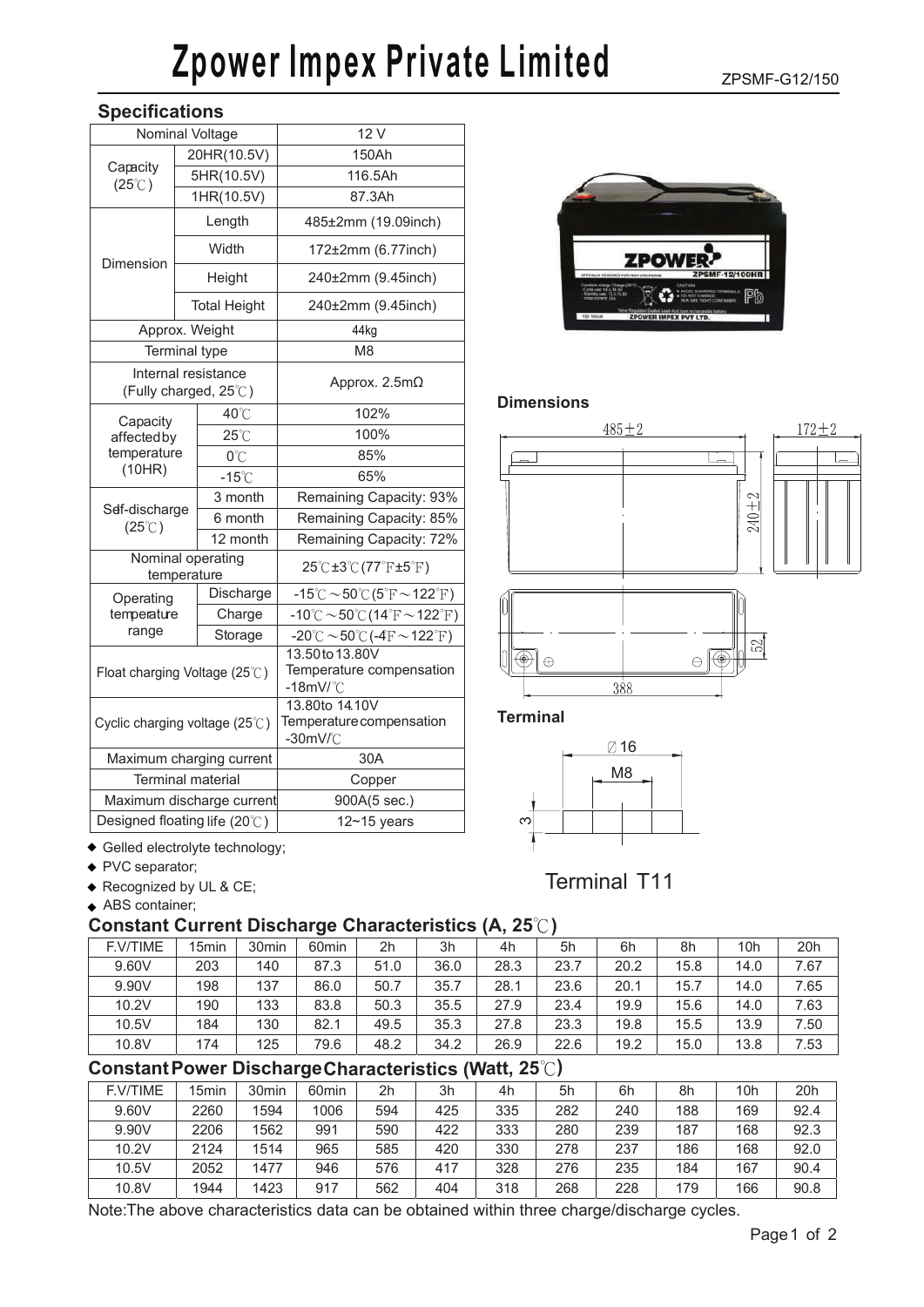## **Zpower Impex Private Limited**

ZPSMF-G12/150

|  | <b>Specifications</b> |  |
|--|-----------------------|--|
|--|-----------------------|--|

| Nominal Voltage                   |  |                                              | 12 V                                                                   |  |  |  |  |
|-----------------------------------|--|----------------------------------------------|------------------------------------------------------------------------|--|--|--|--|
| Capacity                          |  | 20HR(10.5V)                                  | 150Ah                                                                  |  |  |  |  |
| $(25^{\circ}$ C)                  |  | 5HR(10.5V)                                   | 116.5Ah                                                                |  |  |  |  |
|                                   |  | 1HR(10.5V)                                   | 87.3Ah                                                                 |  |  |  |  |
|                                   |  | Length                                       | 485±2mm (19.09inch)                                                    |  |  |  |  |
| Dimension                         |  | Width                                        | 172±2mm (6.77inch)                                                     |  |  |  |  |
|                                   |  | Height                                       | 240±2mm (9.45inch)                                                     |  |  |  |  |
|                                   |  | <b>Total Height</b>                          | 240±2mm (9.45inch)                                                     |  |  |  |  |
|                                   |  | Approx. Weight                               | 44kg                                                                   |  |  |  |  |
|                                   |  | Terminal type                                | M <sub>8</sub>                                                         |  |  |  |  |
|                                   |  | Internal resistance<br>(Fully charged, 25°C) | Approx. $2.5m\Omega$                                                   |  |  |  |  |
| Capacity                          |  | 40°C                                         | 102%                                                                   |  |  |  |  |
| affectedby                        |  | $25^{\circ}$ C                               | 100%                                                                   |  |  |  |  |
| temperature                       |  | 0°C                                          | 85%                                                                    |  |  |  |  |
| (10HR)                            |  | $-15^{\circ}$ C                              | 65%                                                                    |  |  |  |  |
| Sef-discharge<br>$(25^{\circ}$ C) |  | 3 month                                      | Remaining Capacity: 93%                                                |  |  |  |  |
|                                   |  | 6 month                                      | Remaining Capacity: 85%                                                |  |  |  |  |
|                                   |  | 12 month                                     | Remaining Capacity: 72%                                                |  |  |  |  |
| Nominal operating<br>temperature  |  |                                              | $25^{\circ}$ C $\pm 3^{\circ}$ C $(77^{\circ}$ F $\pm 5^{\circ}$ F $)$ |  |  |  |  |
| Operating<br>temperature<br>range |  | Discharge                                    | $-15^{\circ}$ C ~50 $^{\circ}$ C (5 $^{\circ}$ F ~122 $^{\circ}$ F)    |  |  |  |  |
|                                   |  | Charge                                       | $-10^{\circ}$ C ~50 $^{\circ}$ C (14 $^{\circ}$ F ~122 $^{\circ}$ F)   |  |  |  |  |
|                                   |  | Storage                                      | $-20^{\circ}$ C $\sim$ 50 $^{\circ}$ C (-4F $\sim$ 122 $^{\circ}$ F)   |  |  |  |  |
| Float charging Voltage (25°C)     |  |                                              | 13.50 to 13.80V<br>Temperature compensation<br>$-18$ mV/ $^{\circ}$ C  |  |  |  |  |
| Cyclic charging voltage (25°C)    |  |                                              | 13.80to 14.10V<br>Temperature compensation<br>$-30mV/C$                |  |  |  |  |
| Maximum charging current          |  |                                              | 30A                                                                    |  |  |  |  |
| <b>Terminal material</b>          |  |                                              | Copper                                                                 |  |  |  |  |
| Maximum discharge current         |  |                                              | 900A(5 sec.)                                                           |  |  |  |  |
| Designed floating life (20°C)     |  |                                              | $12 - 15$ years                                                        |  |  |  |  |



### **Dimensions**



**Terminal**



Terminal T11

Gelled electrolyte technology;

- ◆ PVC separator;
- ◆ Recognized by UL & CE;
- ◆ ABS container;

#### **Constant Current Discharge Characteristics (A, 25**℃**)**

| F.V/TIME | 15 <sub>min</sub> | 30 <sub>min</sub> | 60 <sub>min</sub> | 2 <sub>h</sub> | 3h   | 4h   | 5h   | 6h   | 8h   | 10h  | 20h  |
|----------|-------------------|-------------------|-------------------|----------------|------|------|------|------|------|------|------|
| 9.60V    | 203               | 140               | 87.3              | 51.0           | 36.0 | 28.3 | 23.7 | 20.2 | 15.8 | 14.0 | 7.67 |
| 9.90V    | 198               | 137               | 86.0              | 50.7           | 35.7 | 28.1 | 23.6 | 20.1 | 15.7 | 14.0 | 7.65 |
| 10.2V    | 190               | 133               | 83.8              | 50.3           | 35.5 | 27.9 | 23.4 | 19.9 | 15.6 | 14.0 | 7.63 |
| 10.5V    | 184               | 130               | 82.1              | 49.5           | 35.3 | 27.8 | 23.3 | 19.8 | 15.5 | 13.9 | 7.50 |
| 10.8V    | 174               | 125               | 79.6              | 48.2           | 34.2 | 26.9 | 22.6 | 19.2 | 15.0 | 13.8 | 7.53 |

## **Constant Power Discharge Characteristics (Watt, 25**℃**)**

| F.V/TIME | 15 <sub>min</sub> | 30 <sub>min</sub> | 60 <sub>min</sub> | 2 <sub>h</sub> | 3h  | 4h  | 5h  | 6h  | 8h  | 10h | 20h  |
|----------|-------------------|-------------------|-------------------|----------------|-----|-----|-----|-----|-----|-----|------|
| 9.60V    | 2260              | 1594              | 1006              | 594            | 425 | 335 | 282 | 240 | 188 | 169 | 92.4 |
| 9.90V    | 2206              | 1562              | 991               | 590            | 422 | 333 | 280 | 239 | 187 | 168 | 92.3 |
| 10.2V    | 2124              | 1514              | 965               | 585            | 420 | 330 | 278 | 237 | 186 | 168 | 92.0 |
| 10.5V    | 2052              | 1477              | 946               | 576            | 417 | 328 | 276 | 235 | 184 | 167 | 90.4 |
| 10.8V    | 1944              | 1423              | 917               | 562            | 404 | 318 | 268 | 228 | 179 | 166 | 90.8 |

Note: The above characteristics data can be obtained within three charge/discharge cycles.